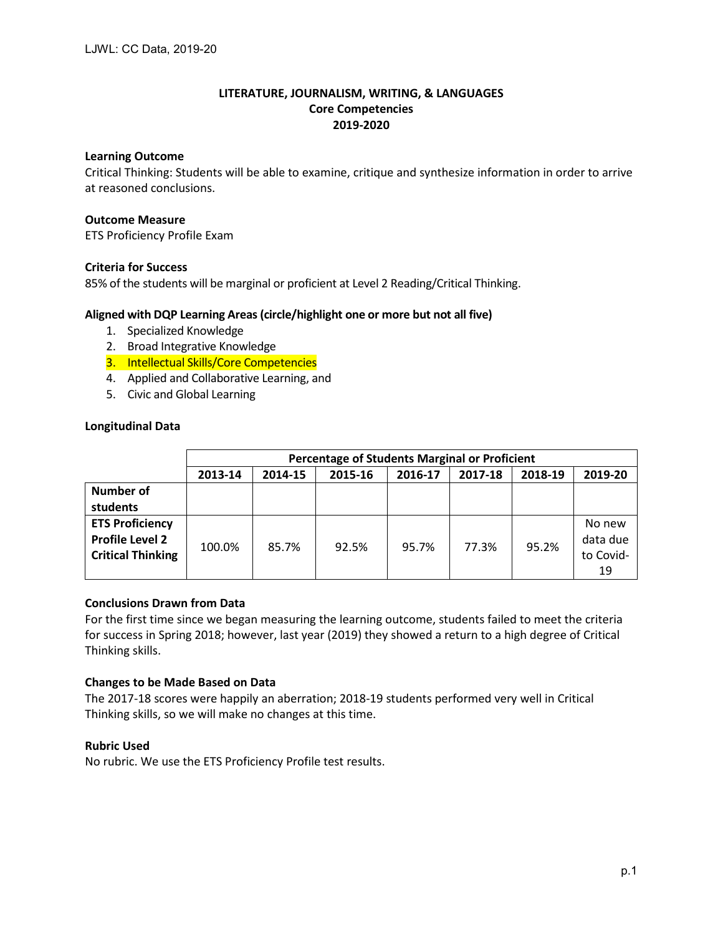# **LITERATURE, JOURNALISM, WRITING, & LANGUAGES Core Competencies 2019-2020**

# **Learning Outcome**

Critical Thinking: Students will be able to examine, critique and synthesize information in order to arrive at reasoned conclusions.

# **Outcome Measure**

ETS Proficiency Profile Exam

# **Criteria for Success**

85% of the students will be marginal or proficient at Level 2 Reading/Critical Thinking.

# **Aligned with DQP Learning Areas (circle/highlight one or more but not all five)**

- 1. Specialized Knowledge
- 2. Broad Integrative Knowledge
- 3. Intellectual Skills/Core Competencies
- 4. Applied and Collaborative Learning, and
- 5. Civic and Global Learning

# **Longitudinal Data**

|                          | <b>Percentage of Students Marginal or Proficient</b> |         |         |         |         |         |           |  |  |
|--------------------------|------------------------------------------------------|---------|---------|---------|---------|---------|-----------|--|--|
|                          | 2013-14                                              | 2014-15 | 2015-16 | 2016-17 | 2017-18 | 2018-19 | 2019-20   |  |  |
| <b>Number of</b>         |                                                      |         |         |         |         |         |           |  |  |
| students                 |                                                      |         |         |         |         |         |           |  |  |
| <b>ETS Proficiency</b>   |                                                      |         |         |         |         |         | No new    |  |  |
| <b>Profile Level 2</b>   | 100.0%                                               | 85.7%   | 92.5%   | 95.7%   | 77.3%   | 95.2%   | data due  |  |  |
| <b>Critical Thinking</b> |                                                      |         |         |         |         |         | to Covid- |  |  |
|                          |                                                      |         |         |         |         |         | 19        |  |  |

# **Conclusions Drawn from Data**

For the first time since we began measuring the learning outcome, students failed to meet the criteria for success in Spring 2018; however, last year (2019) they showed a return to a high degree of Critical Thinking skills.

#### **Changes to be Made Based on Data**

The 2017-18 scores were happily an aberration; 2018-19 students performed very well in Critical Thinking skills, so we will make no changes at this time.

#### **Rubric Used**

No rubric. We use the ETS Proficiency Profile test results.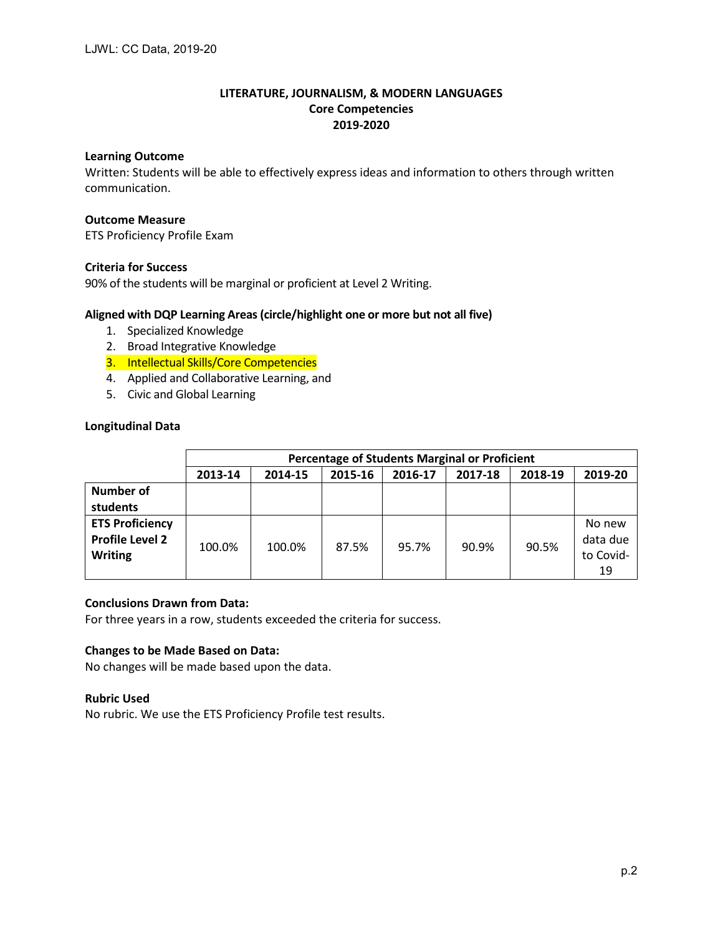# **Learning Outcome**

Written: Students will be able to effectively express ideas and information to others through written communication.

# **Outcome Measure**

ETS Proficiency Profile Exam

# **Criteria for Success**

90% of the students will be marginal or proficient at Level 2 Writing.

# **Aligned with DQP Learning Areas (circle/highlight one or more but not all five)**

- 1. Specialized Knowledge
- 2. Broad Integrative Knowledge
- 3. Intellectual Skills/Core Competencies
- 4. Applied and Collaborative Learning, and
- 5. Civic and Global Learning

# **Longitudinal Data**

|                                                  | <b>Percentage of Students Marginal or Proficient</b> |         |         |         |         |         |                    |  |  |
|--------------------------------------------------|------------------------------------------------------|---------|---------|---------|---------|---------|--------------------|--|--|
|                                                  | 2013-14                                              | 2014-15 | 2015-16 | 2016-17 | 2017-18 | 2018-19 | 2019-20            |  |  |
| Number of                                        |                                                      |         |         |         |         |         |                    |  |  |
| students                                         |                                                      |         |         |         |         |         |                    |  |  |
| <b>ETS Proficiency</b><br><b>Profile Level 2</b> | 100.0%                                               | 100.0%  | 87.5%   | 95.7%   | 90.9%   | 90.5%   | No new<br>data due |  |  |
| <b>Writing</b>                                   |                                                      |         |         |         |         |         | to Covid-<br>19    |  |  |

# **Conclusions Drawn from Data:**

For three years in a row, students exceeded the criteria for success.

# **Changes to be Made Based on Data:**

No changes will be made based upon the data.

#### **Rubric Used**

No rubric. We use the ETS Proficiency Profile test results.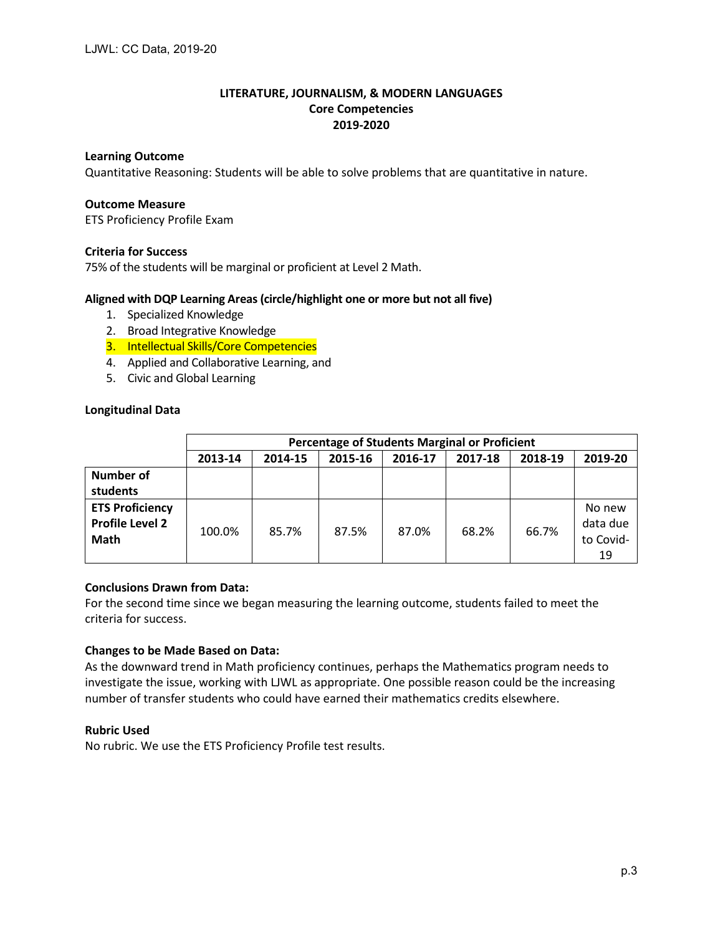# **Learning Outcome**

Quantitative Reasoning: Students will be able to solve problems that are quantitative in nature.

### **Outcome Measure**

ETS Proficiency Profile Exam

# **Criteria for Success**

75% of the students will be marginal or proficient at Level 2 Math.

# **Aligned with DQP Learning Areas (circle/highlight one or more but not all five)**

- 1. Specialized Knowledge
- 2. Broad Integrative Knowledge
- 3. Intellectual Skills/Core Competencies
- 4. Applied and Collaborative Learning, and
- 5. Civic and Global Learning

# **Longitudinal Data**

|                                                          | Percentage of Students Marginal or Proficient |         |         |         |         |         |                                       |  |  |
|----------------------------------------------------------|-----------------------------------------------|---------|---------|---------|---------|---------|---------------------------------------|--|--|
|                                                          | 2013-14                                       | 2014-15 | 2015-16 | 2016-17 | 2017-18 | 2018-19 | 2019-20                               |  |  |
| Number of<br>students                                    |                                               |         |         |         |         |         |                                       |  |  |
| <b>ETS Proficiency</b><br><b>Profile Level 2</b><br>Math | 100.0%                                        | 85.7%   | 87.5%   | 87.0%   | 68.2%   | 66.7%   | No new<br>data due<br>to Covid-<br>19 |  |  |

# **Conclusions Drawn from Data:**

For the second time since we began measuring the learning outcome, students failed to meet the criteria for success.

#### **Changes to be Made Based on Data:**

As the downward trend in Math proficiency continues, perhaps the Mathematics program needs to investigate the issue, working with LJWL as appropriate. One possible reason could be the increasing number of transfer students who could have earned their mathematics credits elsewhere.

#### **Rubric Used**

No rubric. We use the ETS Proficiency Profile test results.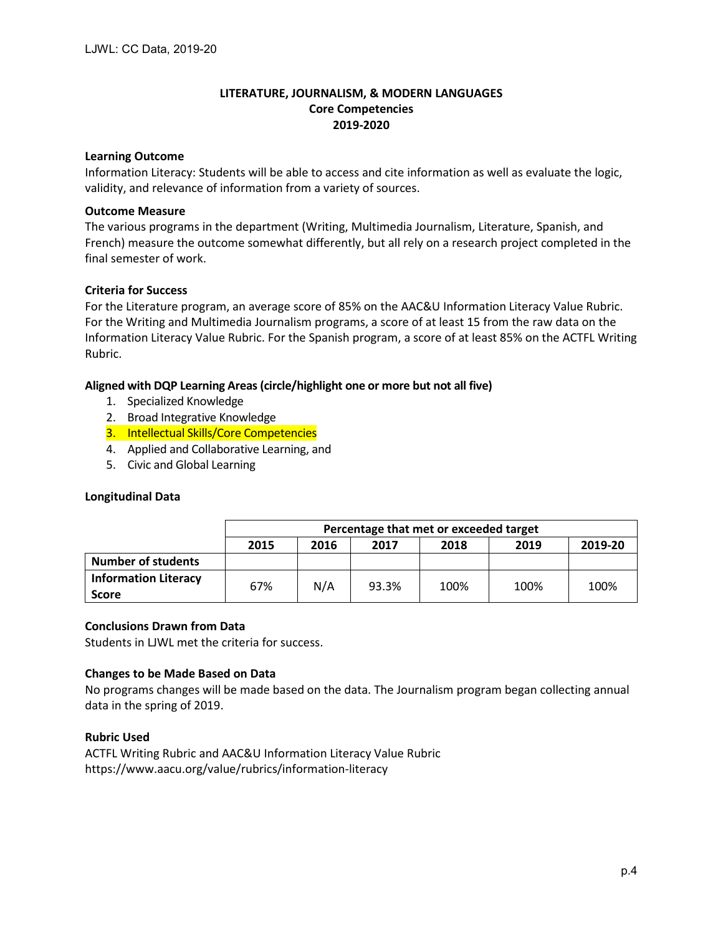# **Learning Outcome**

Information Literacy: Students will be able to access and cite information as well as evaluate the logic, validity, and relevance of information from a variety of sources.

# **Outcome Measure**

The various programs in the department (Writing, Multimedia Journalism, Literature, Spanish, and French) measure the outcome somewhat differently, but all rely on a research project completed in the final semester of work.

# **Criteria for Success**

For the Literature program, an average score of 85% on the AAC&U Information Literacy Value Rubric. For the Writing and Multimedia Journalism programs, a score of at least 15 from the raw data on the Information Literacy Value Rubric. For the Spanish program, a score of at least 85% on the ACTFL Writing Rubric.

# **Aligned with DQP Learning Areas (circle/highlight one or more but not all five)**

- 1. Specialized Knowledge
- 2. Broad Integrative Knowledge
- 3. Intellectual Skills/Core Competencies
- 4. Applied and Collaborative Learning, and
- 5. Civic and Global Learning

### **Longitudinal Data**

|                                             | Percentage that met or exceeded target          |     |       |      |      |      |  |  |
|---------------------------------------------|-------------------------------------------------|-----|-------|------|------|------|--|--|
|                                             | 2019-20<br>2015<br>2017<br>2019<br>2016<br>2018 |     |       |      |      |      |  |  |
| <b>Number of students</b>                   |                                                 |     |       |      |      |      |  |  |
| <b>Information Literacy</b><br><b>Score</b> | 67%                                             | N/A | 93.3% | 100% | 100% | 100% |  |  |

#### **Conclusions Drawn from Data**

Students in LJWL met the criteria for success.

#### **Changes to be Made Based on Data**

No programs changes will be made based on the data. The Journalism program began collecting annual data in the spring of 2019.

#### **Rubric Used**

ACTFL Writing Rubric and AAC&U Information Literacy Value Rubric https://www.aacu.org/value/rubrics/information-literacy